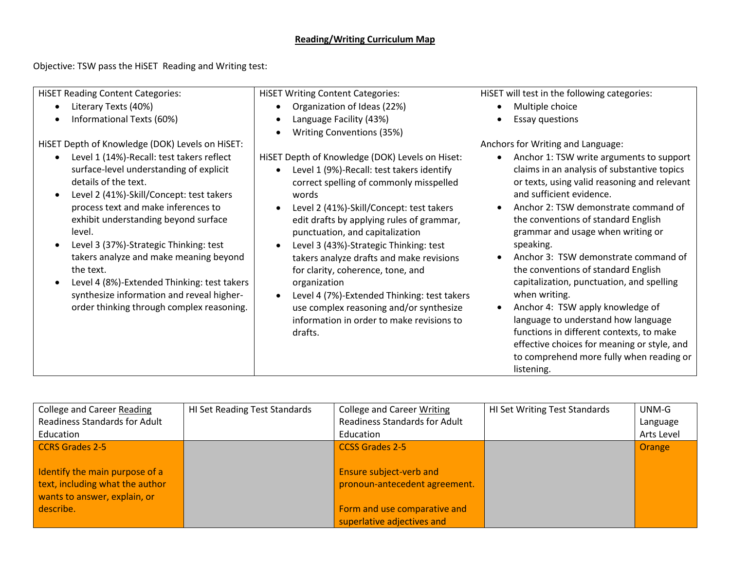## **Reading/Writing Curriculum Map**

Objective: TSW pass the HiSET Reading and Writing test:

| <b>HISET Reading Content Categories:</b>                                                                                                                                                                                                                                                                                                                                                                                                                                                                 | <b>HiSET Writing Content Categories:</b>                                                                                                                                                                                                                                                                                                                                                                                                                                                                                                                                                            | HISET will test in the following categories:                                                                                                                                                                                                                                                                                                                                                                                                                                                                                                                                                                                                                                      |
|----------------------------------------------------------------------------------------------------------------------------------------------------------------------------------------------------------------------------------------------------------------------------------------------------------------------------------------------------------------------------------------------------------------------------------------------------------------------------------------------------------|-----------------------------------------------------------------------------------------------------------------------------------------------------------------------------------------------------------------------------------------------------------------------------------------------------------------------------------------------------------------------------------------------------------------------------------------------------------------------------------------------------------------------------------------------------------------------------------------------------|-----------------------------------------------------------------------------------------------------------------------------------------------------------------------------------------------------------------------------------------------------------------------------------------------------------------------------------------------------------------------------------------------------------------------------------------------------------------------------------------------------------------------------------------------------------------------------------------------------------------------------------------------------------------------------------|
| Literary Texts (40%)                                                                                                                                                                                                                                                                                                                                                                                                                                                                                     | Organization of Ideas (22%)<br>$\bullet$                                                                                                                                                                                                                                                                                                                                                                                                                                                                                                                                                            | Multiple choice                                                                                                                                                                                                                                                                                                                                                                                                                                                                                                                                                                                                                                                                   |
| Informational Texts (60%)                                                                                                                                                                                                                                                                                                                                                                                                                                                                                | Language Facility (43%)                                                                                                                                                                                                                                                                                                                                                                                                                                                                                                                                                                             | <b>Essay questions</b>                                                                                                                                                                                                                                                                                                                                                                                                                                                                                                                                                                                                                                                            |
|                                                                                                                                                                                                                                                                                                                                                                                                                                                                                                          | Writing Conventions (35%)                                                                                                                                                                                                                                                                                                                                                                                                                                                                                                                                                                           |                                                                                                                                                                                                                                                                                                                                                                                                                                                                                                                                                                                                                                                                                   |
| HiSET Depth of Knowledge (DOK) Levels on HiSET:                                                                                                                                                                                                                                                                                                                                                                                                                                                          |                                                                                                                                                                                                                                                                                                                                                                                                                                                                                                                                                                                                     | Anchors for Writing and Language:                                                                                                                                                                                                                                                                                                                                                                                                                                                                                                                                                                                                                                                 |
| Level 1 (14%)-Recall: test takers reflect<br>surface-level understanding of explicit<br>details of the text.<br>Level 2 (41%)-Skill/Concept: test takers<br>$\bullet$<br>process text and make inferences to<br>exhibit understanding beyond surface<br>level.<br>Level 3 (37%)-Strategic Thinking: test<br>takers analyze and make meaning beyond<br>the text.<br>Level 4 (8%)-Extended Thinking: test takers<br>synthesize information and reveal higher-<br>order thinking through complex reasoning. | HISET Depth of Knowledge (DOK) Levels on Hiset:<br>Level 1 (9%)-Recall: test takers identify<br>$\bullet$<br>correct spelling of commonly misspelled<br>words<br>Level 2 (41%)-Skill/Concept: test takers<br>edit drafts by applying rules of grammar,<br>punctuation, and capitalization<br>Level 3 (43%)-Strategic Thinking: test<br>$\bullet$<br>takers analyze drafts and make revisions<br>for clarity, coherence, tone, and<br>organization<br>Level 4 (7%)-Extended Thinking: test takers<br>use complex reasoning and/or synthesize<br>information in order to make revisions to<br>drafts. | Anchor 1: TSW write arguments to support<br>claims in an analysis of substantive topics<br>or texts, using valid reasoning and relevant<br>and sufficient evidence.<br>Anchor 2: TSW demonstrate command of<br>the conventions of standard English<br>grammar and usage when writing or<br>speaking.<br>Anchor 3: TSW demonstrate command of<br>the conventions of standard English<br>capitalization, punctuation, and spelling<br>when writing.<br>Anchor 4: TSW apply knowledge of<br>language to understand how language<br>functions in different contexts, to make<br>effective choices for meaning or style, and<br>to comprehend more fully when reading or<br>listening. |

| College and Career Reading           | <b>HI Set Reading Test Standards</b> | <b>College and Career Writing</b>    | <b>HI Set Writing Test Standards</b> | UNM-G      |
|--------------------------------------|--------------------------------------|--------------------------------------|--------------------------------------|------------|
| <b>Readiness Standards for Adult</b> |                                      | <b>Readiness Standards for Adult</b> |                                      | Language   |
| Education                            |                                      | Education                            |                                      | Arts Level |
| CCRS Grades 2-5                      |                                      | <b>CCSS Grades 2-5</b>               |                                      | Orange     |
|                                      |                                      |                                      |                                      |            |
| Identify the main purpose of a       |                                      | <b>Ensure subject-verb and</b>       |                                      |            |
| text, including what the author      |                                      | pronoun-antecedent agreement.        |                                      |            |
| wants to answer, explain, or         |                                      |                                      |                                      |            |
| describe.                            |                                      | Form and use comparative and         |                                      |            |
|                                      |                                      | superlative adjectives and           |                                      |            |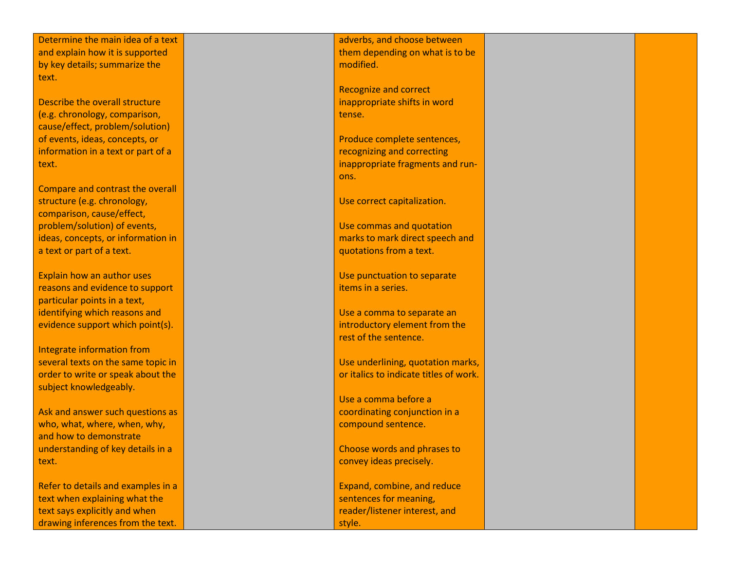Determine the main idea of a text and explain how it is supported by key details; summarize the text.

Describe the overall structure (e.g. chronology, comparison, cause/effect, problem/solution) of events, ideas, concepts, or information in a text or part of a text.

Compare and contrast the overall structure (e.g. chronology, comparison, cause/effect, problem/solution) of events, ideas, concepts, or information in a text or part of a text.

Explain how an author uses reasons and evidence to support particular points in a text, identifying which reasons and evidence support which point(s).

Integrate information from several texts on the same topic in order to write or speak about the subject knowledgeably.

Ask and answer such questions as who, what, where, when, why, and how to demonstrate understanding of key details in a text.

Refer to details and examples in a text when explaining what the text says explicitly and when drawing inferences from the text.

adverbs, and choose between them depending on what is to be modified.

Recognize and correct inappropriate shifts in word tense.

Produce complete sentences, recognizing and correcting inappropriate fragments and run ons.

Use correct capitalization.

Use commas and quotation marks to mark direct speech and quotations from a text.

Use punctuation to separate items in a series.

Use a comma to separate an introductory element from the rest of the sentence.

Use underlining, quotation marks, or italics to indicate titles of work.

Use a comma before a coordinating conjunction in a compound sentence.

Choose words and phrases to convey ideas precisely.

Expand, combine, and reduce sentences for meaning, reader/listener interest, and style.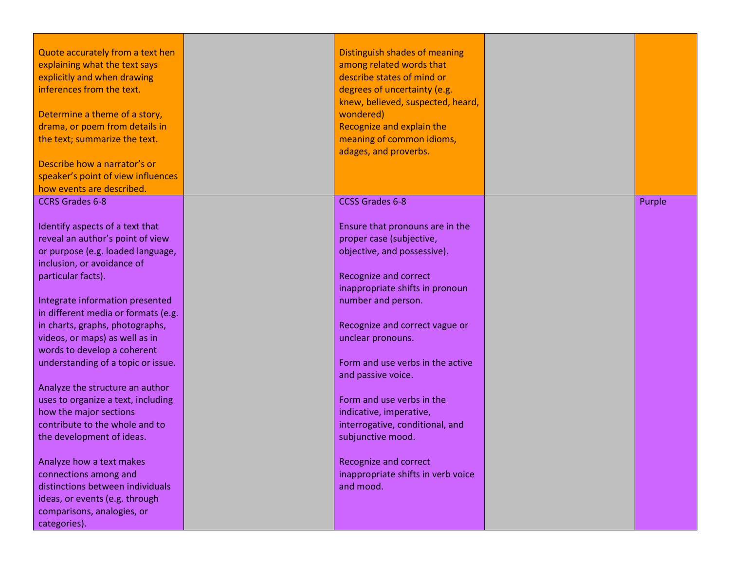| Quote accurately from a text hen<br>explaining what the text says<br>explicitly and when drawing<br>inferences from the text.<br>Determine a theme of a story,<br>drama, or poem from details in<br>the text; summarize the text.<br>Describe how a narrator's or<br>speaker's point of view influences<br>how events are described. | Distinguish shades of meaning<br>among related words that<br>describe states of mind or<br>degrees of uncertainty (e.g.<br>knew, believed, suspected, heard,<br>wondered)<br>Recognize and explain the<br>meaning of common idioms,<br>adages, and proverbs. |        |
|--------------------------------------------------------------------------------------------------------------------------------------------------------------------------------------------------------------------------------------------------------------------------------------------------------------------------------------|--------------------------------------------------------------------------------------------------------------------------------------------------------------------------------------------------------------------------------------------------------------|--------|
| <b>CCRS Grades 6-8</b><br>Identify aspects of a text that                                                                                                                                                                                                                                                                            | <b>CCSS Grades 6-8</b><br>Ensure that pronouns are in the                                                                                                                                                                                                    | Purple |
| reveal an author's point of view<br>or purpose (e.g. loaded language,<br>inclusion, or avoidance of                                                                                                                                                                                                                                  | proper case (subjective,<br>objective, and possessive).                                                                                                                                                                                                      |        |
| particular facts).<br>Integrate information presented                                                                                                                                                                                                                                                                                | <b>Recognize and correct</b><br>inappropriate shifts in pronoun<br>number and person.                                                                                                                                                                        |        |
| in different media or formats (e.g.<br>in charts, graphs, photographs,<br>videos, or maps) as well as in<br>words to develop a coherent                                                                                                                                                                                              | Recognize and correct vague or<br>unclear pronouns.                                                                                                                                                                                                          |        |
| understanding of a topic or issue.<br>Analyze the structure an author                                                                                                                                                                                                                                                                | Form and use verbs in the active<br>and passive voice.                                                                                                                                                                                                       |        |
| uses to organize a text, including<br>how the major sections<br>contribute to the whole and to<br>the development of ideas.                                                                                                                                                                                                          | Form and use verbs in the<br>indicative, imperative,<br>interrogative, conditional, and<br>subjunctive mood.                                                                                                                                                 |        |
| Analyze how a text makes<br>connections among and<br>distinctions between individuals<br>ideas, or events (e.g. through<br>comparisons, analogies, or<br>categories).                                                                                                                                                                | <b>Recognize and correct</b><br>inappropriate shifts in verb voice<br>and mood.                                                                                                                                                                              |        |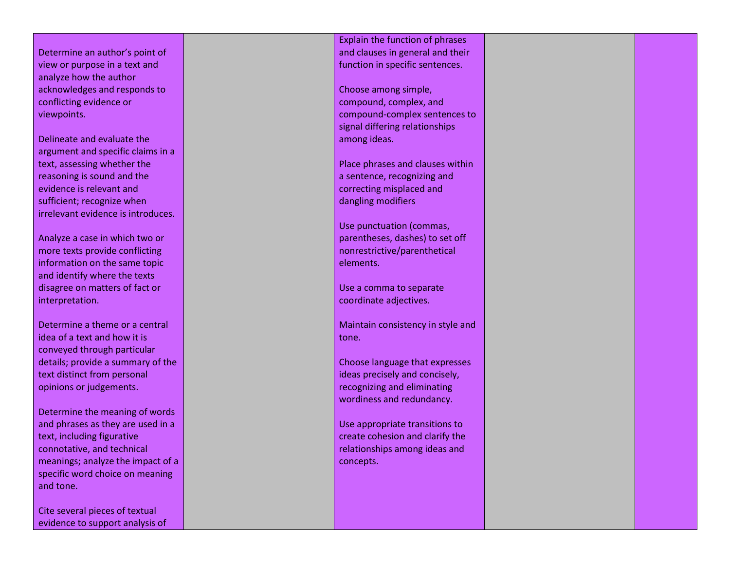Determine an author's point of view or purpose in a text and analyze how the author acknowledges and responds to conflicting evidence or viewpoints.

Delineate and evaluate the argument and specific claims in a text, assessing whether the reasoning is sound and the evidence is relevant and sufficient; recognize when irrelevant evidence is introduces.

Analyze a case in which two or more texts provide conflicting information on the same topic and identify where the texts disagree on matters of fact or interpretation.

Determine a theme or a central idea of a text and how it is conveyed through particular details; provide a summary of the text distinct from personal opinions or judgements.

Determine the meaning of words and phrases as they are used in a text, including figurative connotative, and technical meanings; analyze the impact of a specific word choice on meaning and tone.

Cite several pieces of textual evidence to support analysis of

Explain the function of phrases and clauses in general and their function in specific sentences.

Choose among simple, compound, complex, and compound -complex sentences to signal differing relationships among ideas.

Place phrases and clauses within a sentence, recognizing and correcting misplaced and dangling modifiers

Use punctuation (commas, parentheses, dashes) to set off nonrestrictive/parenthetical elements.

Use a comma to separate coordinate adjectives.

Maintain consistency in style and tone.

Choose language that expresses ideas precisely and concisely, recognizing and eliminating wordiness and redundancy.

Use appropriate transitions to create cohesion and clarify the relationships among ideas and concepts.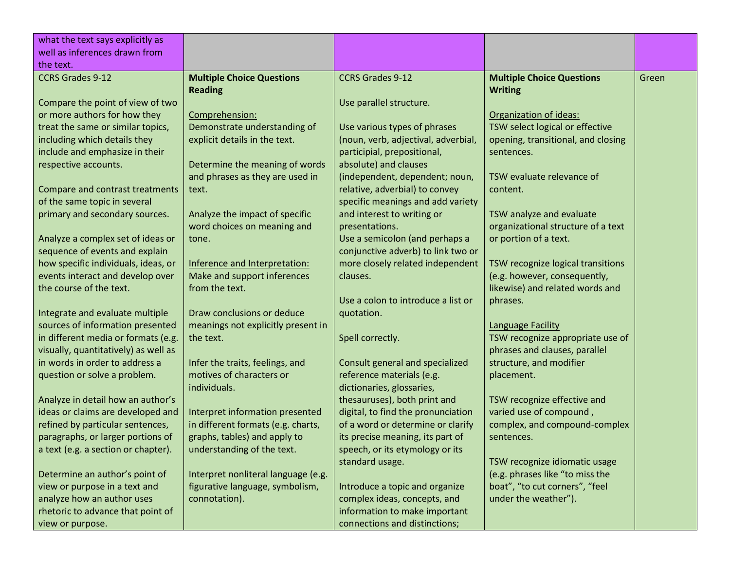| what the text says explicitly as                                       |                                                             |                                                              |                                       |       |
|------------------------------------------------------------------------|-------------------------------------------------------------|--------------------------------------------------------------|---------------------------------------|-------|
| well as inferences drawn from                                          |                                                             |                                                              |                                       |       |
| the text.                                                              |                                                             |                                                              |                                       |       |
| <b>CCRS Grades 9-12</b>                                                | <b>Multiple Choice Questions</b>                            | <b>CCRS Grades 9-12</b>                                      | <b>Multiple Choice Questions</b>      | Green |
|                                                                        | <b>Reading</b>                                              |                                                              | <b>Writing</b>                        |       |
| Compare the point of view of two                                       |                                                             | Use parallel structure.                                      |                                       |       |
| or more authors for how they                                           | Comprehension:                                              |                                                              | Organization of ideas:                |       |
| treat the same or similar topics,                                      | Demonstrate understanding of                                | Use various types of phrases                                 | TSW select logical or effective       |       |
| including which details they                                           | explicit details in the text.                               | (noun, verb, adjectival, adverbial,                          | opening, transitional, and closing    |       |
| include and emphasize in their                                         |                                                             | participial, prepositional,                                  | sentences.                            |       |
| respective accounts.                                                   | Determine the meaning of words                              | absolute) and clauses                                        |                                       |       |
|                                                                        | and phrases as they are used in                             | (independent, dependent; noun,                               | TSW evaluate relevance of             |       |
| Compare and contrast treatments                                        | text.                                                       | relative, adverbial) to convey                               | content.                              |       |
| of the same topic in several                                           |                                                             | specific meanings and add variety                            |                                       |       |
| primary and secondary sources.                                         | Analyze the impact of specific                              | and interest to writing or                                   | TSW analyze and evaluate              |       |
|                                                                        | word choices on meaning and                                 | presentations.                                               | organizational structure of a text    |       |
| Analyze a complex set of ideas or                                      | tone.                                                       | Use a semicolon (and perhaps a                               | or portion of a text.                 |       |
| sequence of events and explain                                         |                                                             | conjunctive adverb) to link two or                           |                                       |       |
| how specific individuals, ideas, or                                    | Inference and Interpretation:                               | more closely related independent                             | TSW recognize logical transitions     |       |
| events interact and develop over                                       | Make and support inferences                                 | clauses.                                                     | (e.g. however, consequently,          |       |
| the course of the text.                                                | from the text.                                              |                                                              | likewise) and related words and       |       |
|                                                                        |                                                             | Use a colon to introduce a list or                           | phrases.                              |       |
| Integrate and evaluate multiple                                        | Draw conclusions or deduce                                  | quotation.                                                   |                                       |       |
| sources of information presented                                       | meanings not explicitly present in                          |                                                              | <b>Language Facility</b>              |       |
| in different media or formats (e.g.                                    | the text.                                                   | Spell correctly.                                             | TSW recognize appropriate use of      |       |
| visually, quantitatively) as well as<br>in words in order to address a |                                                             |                                                              | phrases and clauses, parallel         |       |
|                                                                        | Infer the traits, feelings, and<br>motives of characters or | Consult general and specialized<br>reference materials (e.g. | structure, and modifier<br>placement. |       |
| question or solve a problem.                                           | individuals.                                                | dictionaries, glossaries,                                    |                                       |       |
| Analyze in detail how an author's                                      |                                                             | thesauruses), both print and                                 | TSW recognize effective and           |       |
| ideas or claims are developed and                                      | Interpret information presented                             | digital, to find the pronunciation                           | varied use of compound,               |       |
| refined by particular sentences,                                       | in different formats (e.g. charts,                          | of a word or determine or clarify                            | complex, and compound-complex         |       |
| paragraphs, or larger portions of                                      | graphs, tables) and apply to                                | its precise meaning, its part of                             | sentences.                            |       |
| a text (e.g. a section or chapter).                                    | understanding of the text.                                  | speech, or its etymology or its                              |                                       |       |
|                                                                        |                                                             | standard usage.                                              | TSW recognize idiomatic usage         |       |
| Determine an author's point of                                         | Interpret nonliteral language (e.g.                         |                                                              | (e.g. phrases like "to miss the       |       |
| view or purpose in a text and                                          | figurative language, symbolism,                             | Introduce a topic and organize                               | boat", "to cut corners", "feel        |       |
| analyze how an author uses                                             | connotation).                                               | complex ideas, concepts, and                                 | under the weather").                  |       |
| rhetoric to advance that point of                                      |                                                             | information to make important                                |                                       |       |
| view or purpose.                                                       |                                                             | connections and distinctions;                                |                                       |       |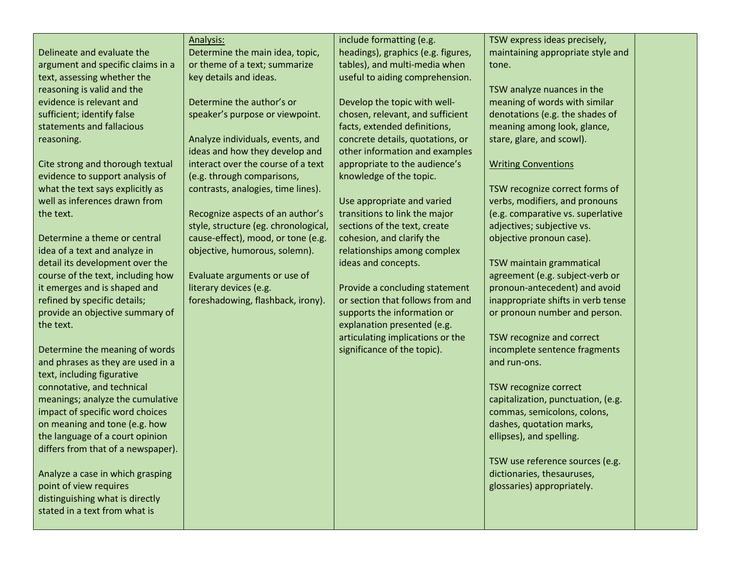Delineate and evaluate the argument and specific claims in a text, assessing whether the reasoning is valid and the evidence is relevant and sufficient; identify false statements and fallacious reasoning.

Cite strong and thorough textual evidence to support analysis of what the text says explicitly as well as inferences drawn from the text.

Determine a theme or central idea of a text and analyze in detail its development over the course of the text, including how it emerges and is shaped and refined by specific details; provide an objective summary of the text.

Determine the meaning of words and phrases as they are used in a text, including figurative connotative, and technical meanings; analyze the cumulative impact of specific word choices on meaning and tone (e.g. how the language of a court opinion differs from that of a newspaper).

Analyze a case in which grasping point of view requires distinguishing what is directly stated in a text from what is

## Analysis: Determine the main idea, topic, or theme of a text; summarize

key details and ideas.

Determine the author's or speaker's purpose or viewpoint.

Analyze individuals, events, and ideas and how they develop and interact over the course of a text (e.g. through comparisons, contrasts, analogies, time lines).

Recognize aspects of an author's style, structure (eg. chronological, cause-effect), mood, or tone (e.g. objective, humorous, solemn).

Evaluate arguments or use of literary devices (e.g. foreshadowing, flashback, irony). include formatting (e.g. headings), graphics (e.g. figures, tables), and multi-media when useful to aiding comprehension.

Develop the topic with wellchosen, relevant, and sufficient facts, extended definitions, concrete details, quotations, or other information and examples appropriate to the audience's knowledge of the topic.

Use appropriate and varied transitions to link the major sections of the text, create cohesion, and clarify the relationships among complex ideas and concepts.

Provide a concluding statement or section that follows from and supports the information or explanation presented (e.g. articulating implications or the significance of the topic).

TSW express ideas precisely, maintaining appropriate style and tone.

TSW analyze nuances in the meaning of words with similar denotations (e.g. the shades of meaning among look, glance, stare, glare, and scowl).

## Writing Conventions

TSW recognize correct forms of verbs, modifiers, and pronouns (e.g. comparative vs. superlative adjectives; subjective vs. objective pronoun case).

TSW maintain grammatical agreement (e.g. subject-verb or pronoun-antecedent) and avoid inappropriate shifts in verb tense or pronoun number and person.

TSW recognize and correct incomplete sentence fragments and run-ons.

TSW recognize correct capitalization, punctuation, (e.g. commas, semicolons, colons, dashes, quotation marks, ellipses), and spelling.

TSW use reference sources (e.g. dictionaries, thesauruses, glossaries) appropriately.